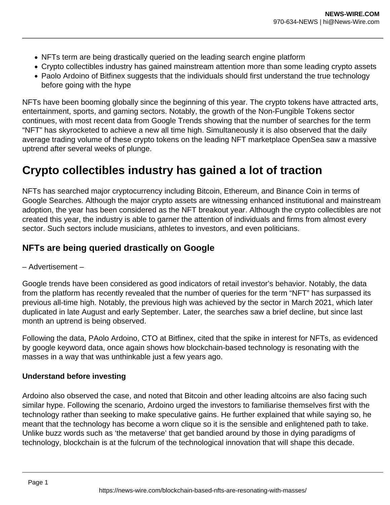- NFTs term are being drastically queried on the leading search engine platform
- Crypto collectibles industry has gained mainstream attention more than some leading crypto assets
- Paolo Ardoino of Bitfinex suggests that the individuals should first understand the true technology before going with the hype

NFTs have been booming globally since the beginning of this year. The crypto tokens have attracted arts, entertainment, sports, and gaming sectors. Notably, the growth of the Non-Fungible Tokens sector continues, with most recent data from Google Trends showing that the number of searches for the term "NFT" has skyrocketed to achieve a new all time high. Simultaneously it is also observed that the daily average trading volume of these crypto tokens on the leading NFT marketplace OpenSea saw a massive uptrend after several weeks of plunge.

## **Crypto collectibles industry has gained a lot of traction**

NFTs has searched major cryptocurrency including Bitcoin, Ethereum, and Binance Coin in terms of Google Searches. Although the major crypto assets are witnessing enhanced institutional and mainstream adoption, the year has been considered as the NFT breakout year. Although the crypto collectibles are not created this year, the industry is able to garner the attention of individuals and firms from almost every sector. Such sectors include musicians, athletes to investors, and even politicians.

## **NFTs are being queried drastically on Google**

– Advertisement –

Google trends have been considered as good indicators of retail investor's behavior. Notably, the data from the platform has recently revealed that the number of queries for the term "NFT" has surpassed its previous all-time high. Notably, the previous high was achieved by the sector in March 2021, which later duplicated in late August and early September. Later, the searches saw a brief decline, but since last month an uptrend is being observed.

Following the data, PAolo Ardoino, CTO at Bitfinex, cited that the spike in interest for NFTs, as evidenced by google keyword data, once again shows how blockchain-based technology is resonating with the masses in a way that was unthinkable just a few years ago.

## **Understand before investing**

Ardoino also observed the case, and noted that Bitcoin and other leading altcoins are also facing such similar hype. Following the scenario, Ardoino urged the investors to familiarise themselves first with the technology rather than seeking to make speculative gains. He further explained that while saying so, he meant that the technology has become a worn clique so it is the sensible and enlightened path to take. Unlike buzz words such as 'the metaverse' that get bandied around by those in dying paradigms of technology, blockchain is at the fulcrum of the technological innovation that will shape this decade.